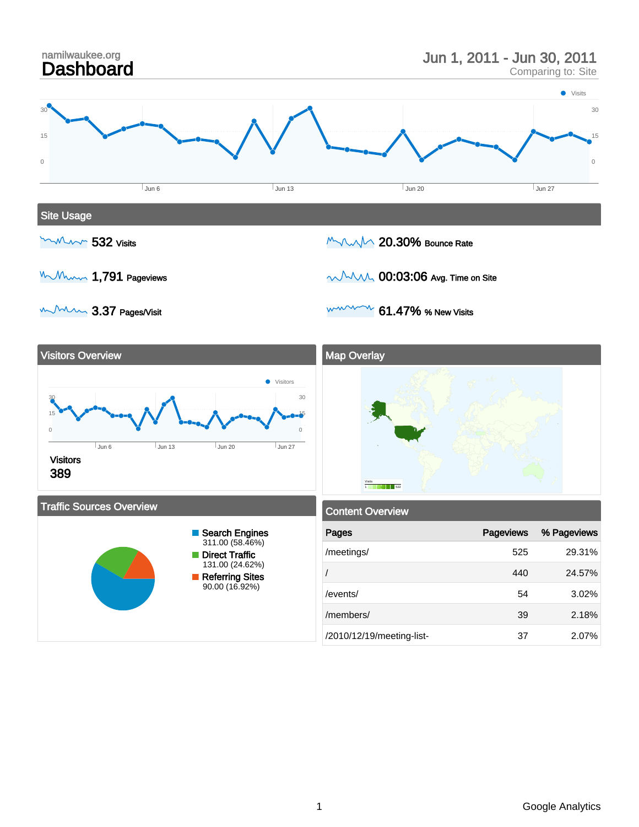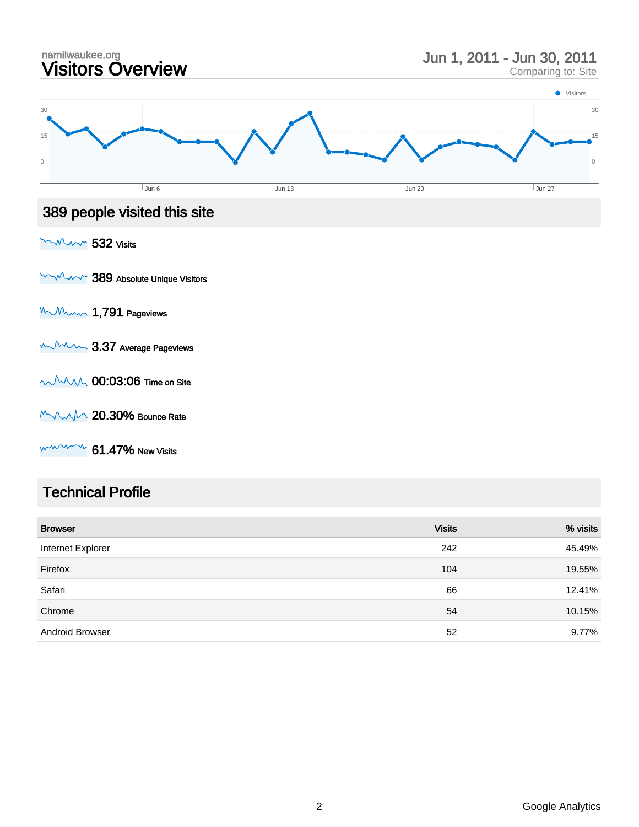

#### Technical Profile

| <b>Browser</b>         | <b>Visits</b> | % visits |
|------------------------|---------------|----------|
| Internet Explorer      | 242           | 45.49%   |
| Firefox                | 104           | 19.55%   |
| Safari                 | 66            | 12.41%   |
| Chrome                 | 54            | 10.15%   |
| <b>Android Browser</b> | 52            | 9.77%    |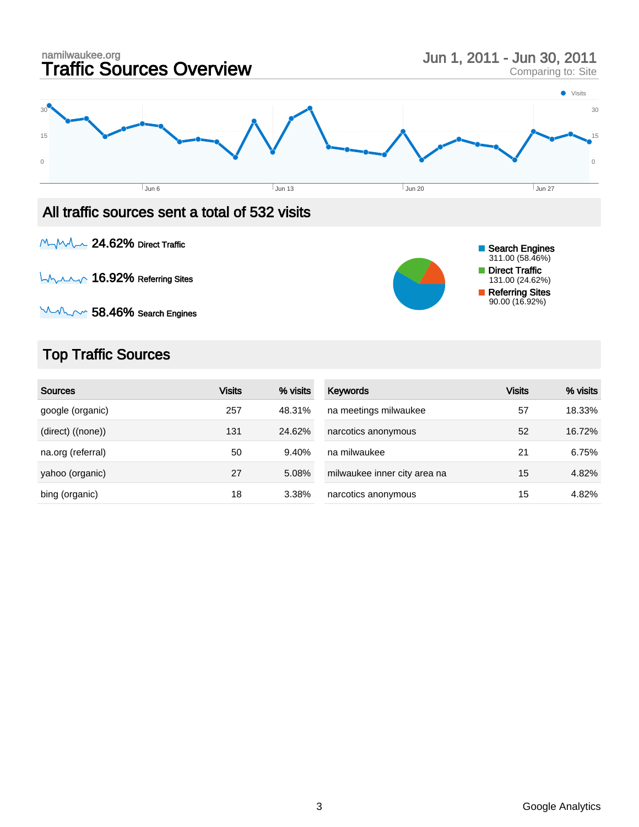

### All traffic sources sent a total of 532 visits

MyMA 24.62% Direct Traffic

LAAM 16.92% Referring Sites



 $M_{\nu}$  58.46% Search Engines

# Top Traffic Sources

| <b>Sources</b>    | <b>Visits</b> | % visits | Keywords                     | <b>Visits</b> | % visits |
|-------------------|---------------|----------|------------------------------|---------------|----------|
| google (organic)  | 257           | 48.31%   | na meetings milwaukee        | 57            | 18.33%   |
| (direct) ((none)) | 131           | 24.62%   | narcotics anonymous          | 52            | 16.72%   |
| na.org (referral) | 50            | 9.40%    | na milwaukee                 | 21            | 6.75%    |
| yahoo (organic)   | 27            | 5.08%    | milwaukee inner city area na | 15            | 4.82%    |
| bing (organic)    | 18            | 3.38%    | narcotics anonymous          | 15            | 4.82%    |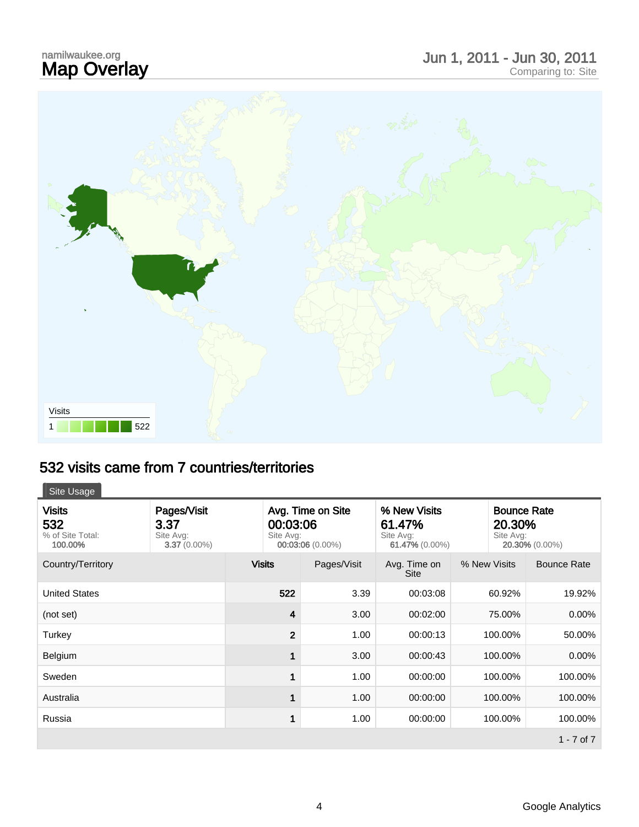# namilwaukee.org<br>**Map Overlay**



### 532 visits came from 7 countries/territories

Site Usage

| <b>Visits</b><br>532<br>% of Site Total:<br>100.00% | Pages/Visit<br>3.37<br>Site Avg:<br>$3.37(0.00\%)$ | Avg. Time on Site<br>00:03:06<br>Site Avg:<br>00:03:06 (0.00%) |             | % New Visits<br>61.47%<br>Site Avg:<br>61.47% (0.00%) |              | <b>Bounce Rate</b><br>20.30%<br>Site Avg:<br>20.30% (0.00%) |  |
|-----------------------------------------------------|----------------------------------------------------|----------------------------------------------------------------|-------------|-------------------------------------------------------|--------------|-------------------------------------------------------------|--|
| Country/Territory                                   |                                                    | <b>Visits</b>                                                  | Pages/Visit | Avg. Time on<br><b>Site</b>                           | % New Visits | <b>Bounce Rate</b>                                          |  |
| <b>United States</b>                                |                                                    | 522                                                            | 3.39        | 00:03:08                                              | 60.92%       | 19.92%                                                      |  |
| (not set)                                           |                                                    | 4                                                              | 3.00        | 00:02:00                                              | 75.00%       | 0.00%                                                       |  |
| Turkey                                              |                                                    | $\overline{2}$                                                 | 1.00        | 00:00:13                                              | 100.00%      | 50.00%                                                      |  |
| Belgium                                             |                                                    |                                                                | 3.00        | 00:00:43                                              | 100.00%      | $0.00\%$                                                    |  |
| Sweden                                              |                                                    |                                                                | 1.00        | 00:00:00                                              | 100.00%      | 100.00%                                                     |  |
| Australia                                           |                                                    |                                                                | 1.00        | 00:00:00                                              | 100.00%      | 100.00%                                                     |  |
| Russia                                              |                                                    |                                                                | 1.00        | 00:00:00                                              | 100.00%      | 100.00%                                                     |  |
|                                                     |                                                    |                                                                |             |                                                       |              | 1 - 7 of $7$                                                |  |